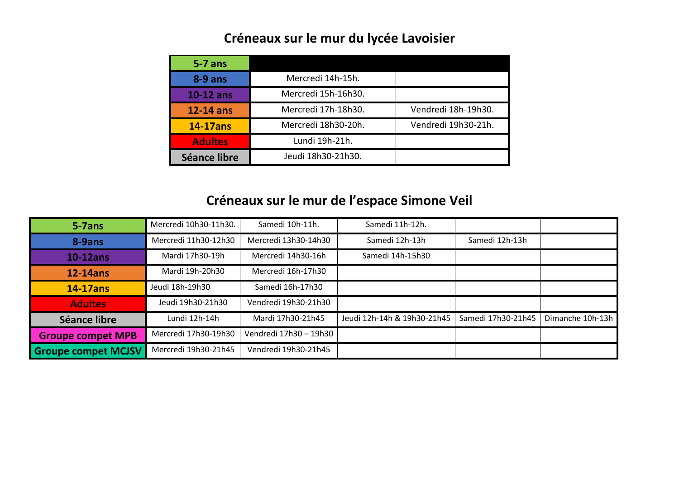## **Créneaux sur le mur du lycée Lavoisier**

| $5-7$ ans           |                     |                     |
|---------------------|---------------------|---------------------|
| $8-9$ ans           | Mercredi 14h-15h.   |                     |
| 10-12 ans           | Mercredi 15h-16h30. |                     |
| <b>12-14 ans</b>    | Mercredi 17h-18h30. | Vendredi 18h-19h30. |
| 14-17ans            | Mercredi 18h30-20h. | Vendredi 19h30-21h. |
| <b>Adultes</b>      | Lundi 19h-21h.      |                     |
| <b>Séance libre</b> | Jeudi 18h30-21h30.  |                     |

## **Créneaux sur le mur de l'espace Simone Veil**

| 5-7ans                     | Mercredi 10h30-11h30. | Samedi 10h-11h.        | Samedi 11h-12h.             |                    |                  |
|----------------------------|-----------------------|------------------------|-----------------------------|--------------------|------------------|
| 8-9ans                     | Mercredi 11h30-12h30  | Mercredi 13h30-14h30   | Samedi 12h-13h              | Samedi 12h-13h     |                  |
| 10-12ans                   | Mardi 17h30-19h       | Mercredi 14h30-16h     | Samedi 14h-15h30            |                    |                  |
| <b>12-14ans</b>            | Mardi 19h-20h30       | Mercredi 16h-17h30     |                             |                    |                  |
| <b>14-17ans</b>            | Jeudi 18h-19h30       | Samedi 16h-17h30       |                             |                    |                  |
| <b>Adultes</b>             | Jeudi 19h30-21h30     | Vendredi 19h30-21h30   |                             |                    |                  |
| Séance libre               | Lundi 12h-14h         | Mardi 17h30-21h45      | Jeudi 12h-14h & 19h30-21h45 | Samedi 17h30-21h45 | Dimanche 10h-13h |
| <b>Groupe compet MPB</b>   | Mercredi 17h30-19h30  | Vendredi 17h30 - 19h30 |                             |                    |                  |
| <b>Groupe compet MCJSV</b> | Mercredi 19h30-21h45  | Vendredi 19h30-21h45   |                             |                    |                  |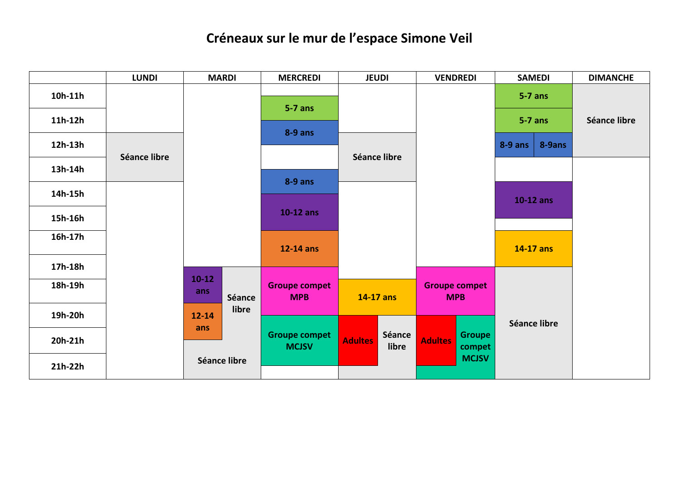## **Créneaux sur le mur de l'espace Simone Veil**